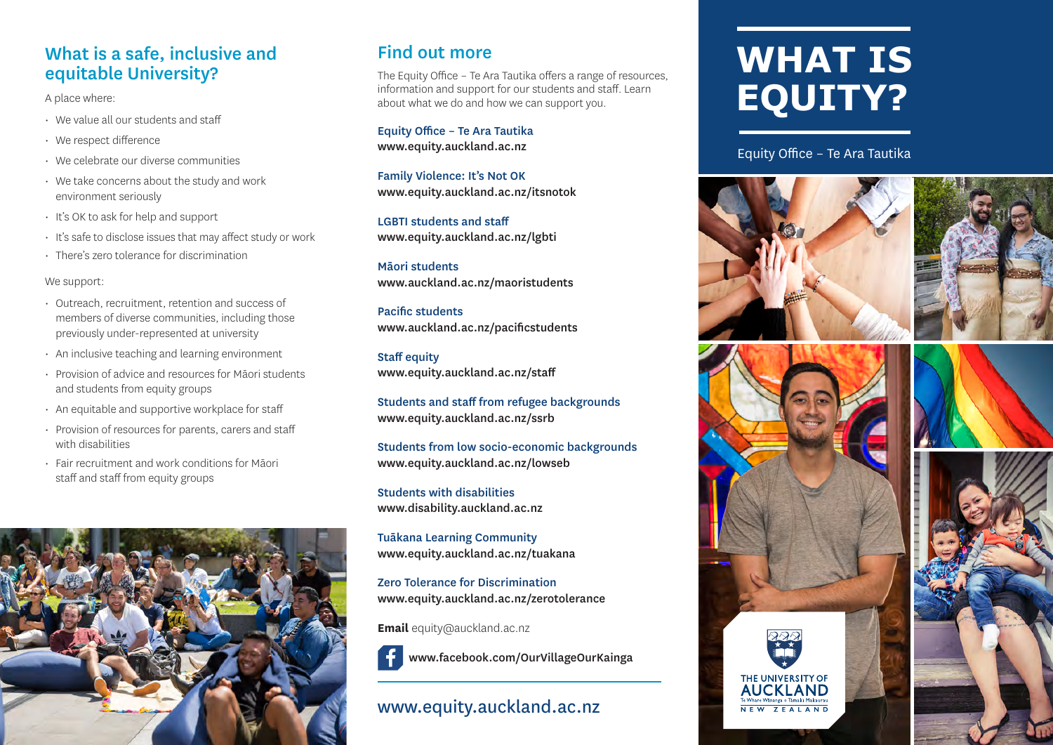#### What is a safe, inclusive and equitable University?

A place where:

- We value all our students and staff
- We respect difference
- We celebrate our diverse communities
- We take concerns about the study and work environment seriously
- It's OK to ask for help and support
- It's safe to disclose issues that may affect study or work
- There's zero tolerance for discrimination

#### We support:

- Outreach, recruitment, retention and success of members of diverse communities, including those previously under-represented at university
- An inclusive teaching and learning environment
- Provision of advice and resources for Māori students and students from equity groups

# • An equitable and supportive workplace for staff • Provision of resources for parents, carers and staff with disabilities • Fair recruitment and work conditions for Māori staff and staff from equity groups



#### Find out more

The Equity Office – Te Ara Tautika offers a range of resources, information and support for our students and staff. Learn about what we do and how we can support you.

Equity Office – Te Ara Tautika www.equity.auckland.ac.nz

Family Violence: It's Not OK www.equity.auckland.ac.nz/itsnotok

LGBTI students and staff www.equity.auckland.ac.nz/lgbti

Māori students www.auckland.ac.nz/maoristudents

Pacific students www.auckland.ac.nz/pacificstudents

Staff equity www.equity.auckland.ac.nz/staff

Students and staff from refugee backgrounds www.equity.auckland.ac.nz/ssrb

Students from low socio-economic backgrounds www.equity.auckland.ac.nz/lowseb

Students with disabilities www.disability.auckland.ac.nz

Tuākana Learning Community www.equity.auckland.ac.nz/tuakana

Zero Tolerance for Discrimination www.equity.auckland.ac.nz/zerotolerance

**Email** equity@auckland.ac.nz



www.facebook.com/OurVillageOurKainga

#### www.equity.auckland.ac.nz

# **WHAT IS EQUITY?**

Equity Office – Te Ara Tautika